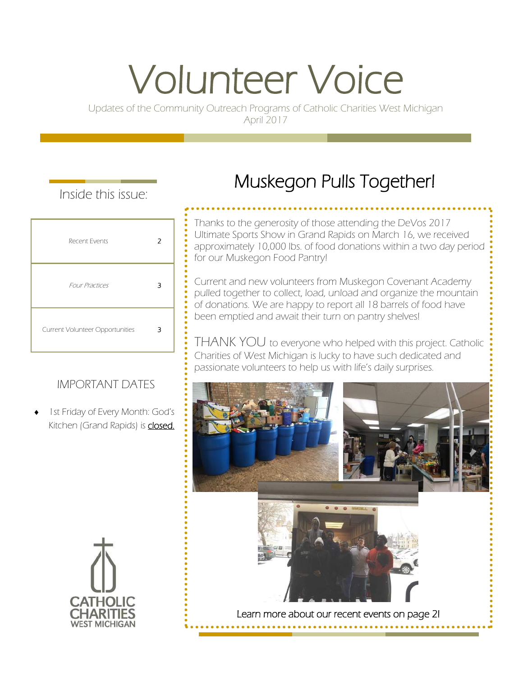# Volunteer Voice

Updates of the Community Outreach Programs of Catholic Charities West Michigan April 2017

## Inside this issue:

| Recent Events                   | 2 |
|---------------------------------|---|
| <b>Four Practices</b>           | З |
| Current Volunteer Opportunities | З |

## IMPORTANT DATES

 1st Friday of Every Month: God's Kitchen (Grand Rapids) is **closed.** 

## Muskegon Pulls Together!

Thanks to the generosity of those attending the DeVos 2017 Ultimate Sports Show in Grand Rapids on March 16, we received approximately 10,000 lbs. of food donations within a two day period for our Muskegon Food Pantry!

Current and new volunteers from Muskegon Covenant Academy pulled together to collect, load, unload and organize the mountain of donations. We are happy to report all 18 barrels of food have been emptied and await their turn on pantry shelves!

THANK YOU to everyone who helped with this project. Catholic Charities of West Michigan is lucky to have such dedicated and passionate volunteers to help us with life's daily surprises.

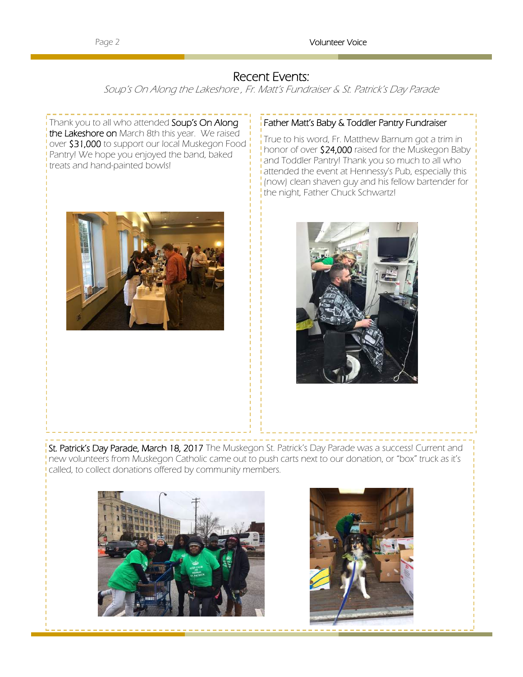### Recent Events:

Soup's On Along the Lakeshore , Fr. Matt's Fundraiser & St. Patrick's Day Parade

Thank you to all who attended Soup's On Along the Lakeshore on March 8th this year. We raised over \$31,000 to support our local Muskegon Food Pantry! We hope you enjoyed the band, baked treats and hand-painted bowls!



True to his word, Fr. Matthew Barnum got a trim in honor of over \$24,000 raised for the Muskegon Baby and Toddler Pantry! Thank you so much to all who attended the event at Hennessy's Pub, especially this (now) clean shaven guy and his fellow bartender for the night, Father Chuck Schwartz!



St. Patrick's Day Parade, March 18, 2017 The Muskegon St. Patrick's Day Parade was a success! Current and new volunteers from Muskegon Catholic came out to push carts next to our donation, or "box" truck as it's called, to collect donations offered by community members.



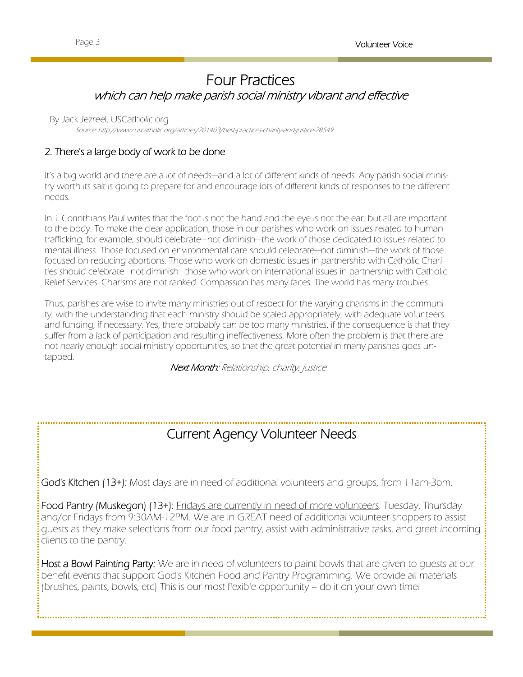## Four Practices which can help make parish social ministry vibrant and effective

#### By Jack Jezreel, USCatholic.org

Source: http://www.uscatholic.org/articles/201403/best-practices-charity-and-justice-28549

#### 2. There's a large body of work to be done

It's a big world and there are a lot of needs—and a lot of different kinds of needs. Any parish social ministry worth its salt is going to prepare for and encourage lots of different kinds of responses to the different needs.

In 1 Corinthians Paul writes that the foot is not the hand and the eye is not the ear, but all are important to the body. To make the clear application, those in our parishes who work on issues related to human trafficking, for example, should celebrate—not diminish—the work of those dedicated to issues related to mental illness. Those focused on environmental care should celebrate—not diminish—the work of those focused on reducing abortions. Those who work on domestic issues in partnership with Catholic Charities should celebrate—not diminish—those who work on international issues in partnership with Catholic Relief Services. Charisms are not ranked. Compassion has many faces. The world has many troubles.

Thus, parishes are wise to invite many ministries out of respect for the varying charisms in the community, with the understanding that each ministry should be scaled appropriately, with adequate volunteers and funding, if necessary. Yes, there probably can be too many ministries, if the consequence is that they suffer from a lack of participation and resulting ineffectiveness. More often the problem is that there are not nearly enough social ministry opportunities, so that the great potential in many parishes goes untapped.

Next Month: Relationship, charity, justice

## Current Agency Volunteer Needs

God's Kitchen (13+): Most days are in need of additional volunteers and groups, from 11am-3pm.

Food Pantry (Muskegon) (13+): *Eridays are currently in need of more volunteers*. Tuesday, Thursday and/or Fridays from 9:30AM-12PM. We are in GREAT need of additional volunteer shoppers to assist guests as they make selections from our food pantry, assist with administrative tasks, and greet incoming clients to the pantry.

Host a Bowl Painting Party: We are in need of volunteers to paint bowls that are given to quests at our benefit events that support God's Kitchen Food and Pantry Programming. We provide all materials (brushes, paints, bowls, etc) This is our most flexible opportunity – do it on your own time!